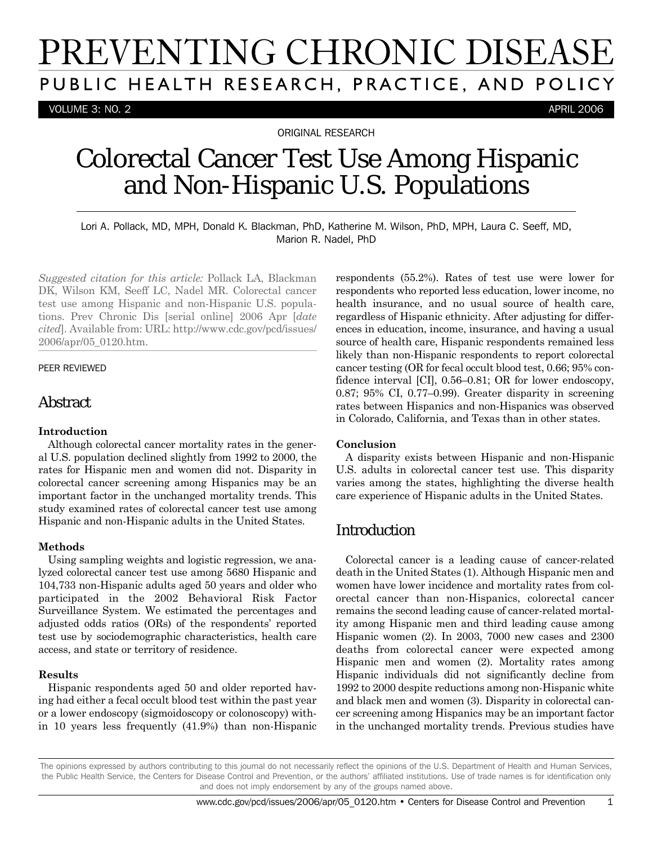# PREVENTING CHRONIC DISEASE PUBLIC HEALTH RESEARCH, PRACTICE, AND POLICY

VOLUME 3: NO. 2 APRIL 2006

ORIGINAL RESEARCH

## Colorectal Cancer Test Use Among Hispanic and Non-Hispanic U.S. Populations

Lori A. Pollack, MD, MPH, Donald K. Blackman, PhD, Katherine M. Wilson, PhD, MPH, Laura C. Seeff, MD, Marion R. Nadel, PhD

*Suggested citation for this article:* Pollack LA, Blackman DK, Wilson KM, Seeff LC, Nadel MR. Colorectal cancer test use among Hispanic and non-Hispanic U.S. populations. Prev Chronic Dis [serial online] 2006 Apr [*date cited*]. Available from: URL: http://www.cdc.gov/pcd/issues/ 2006/apr/05\_0120.htm.

#### PEER REVIEWED

## **Abstract**

#### **Introduction**

Although colorectal cancer mortality rates in the general U.S. population declined slightly from 1992 to 2000, the rates for Hispanic men and women did not. Disparity in colorectal cancer screening among Hispanics may be an important factor in the unchanged mortality trends. This study examined rates of colorectal cancer test use among Hispanic and non-Hispanic adults in the United States.

#### **Methods**

Using sampling weights and logistic regression, we analyzed colorectal cancer test use among 5680 Hispanic and 104,733 non-Hispanic adults aged 50 years and older who participated in the 2002 Behavioral Risk Factor Surveillance System. We estimated the percentages and adjusted odds ratios (ORs) of the respondents' reported test use by sociodemographic characteristics, health care access, and state or territory of residence.

#### **Results**

Hispanic respondents aged 50 and older reported having had either a fecal occult blood test within the past year or a lower endoscopy (sigmoidoscopy or colonoscopy) within 10 years less frequently (41.9%) than non-Hispanic respondents (55.2%). Rates of test use were lower for respondents who reported less education, lower income, no health insurance, and no usual source of health care, regardless of Hispanic ethnicity. After adjusting for differences in education, income, insurance, and having a usual source of health care, Hispanic respondents remained less likely than non-Hispanic respondents to report colorectal cancer testing (OR for fecal occult blood test, 0.66; 95% confidence interval [CI], 0.56–0.81; OR for lower endoscopy, 0.87; 95% CI, 0.77–0.99). Greater disparity in screening rates between Hispanics and non-Hispanics was observed in Colorado, California, and Texas than in other states.

#### **Conclusion**

A disparity exists between Hispanic and non-Hispanic U.S. adults in colorectal cancer test use. This disparity varies among the states, highlighting the diverse health care experience of Hispanic adults in the United States.

## Introduction

Colorectal cancer is a leading cause of cancer-related death in the United States (1). Although Hispanic men and women have lower incidence and mortality rates from colorectal cancer than non-Hispanics, colorectal cancer remains the second leading cause of cancer-related mortality among Hispanic men and third leading cause among Hispanic women (2). In 2003, 7000 new cases and 2300 deaths from colorectal cancer were expected among Hispanic men and women (2). Mortality rates among Hispanic individuals did not significantly decline from 1992 to 2000 despite reductions among non-Hispanic white and black men and women (3). Disparity in colorectal cancer screening among Hispanics may be an important factor in the unchanged mortality trends. Previous studies have

The opinions expressed by authors contributing to this journal do not necessarily reflect the opinions of the U.S. Department of Health and Human Services, the Public Health Service, the Centers for Disease Control and Prevention, or the authors' affiliated institutions. Use of trade names is for identification only and does not imply endorsement by any of the groups named above.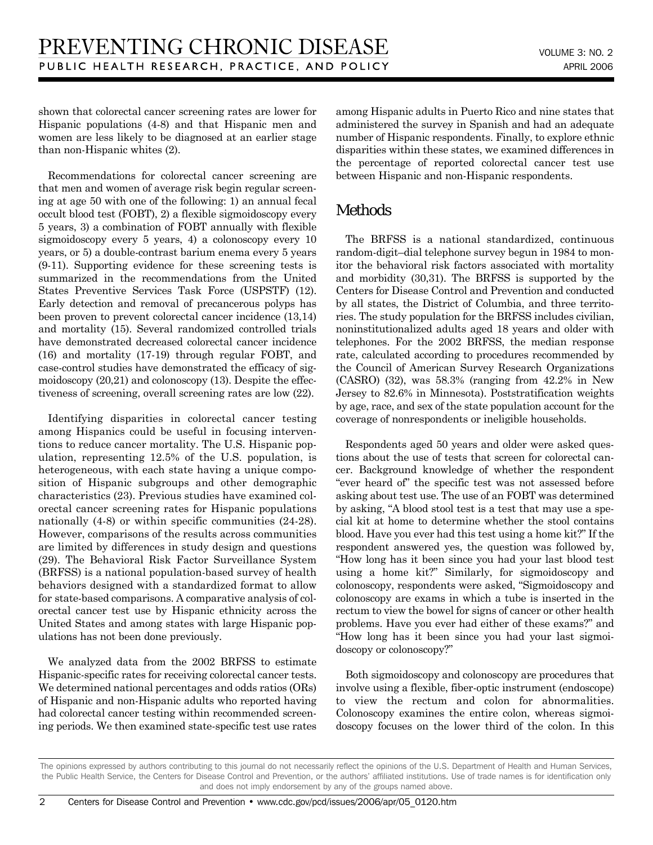shown that colorectal cancer screening rates are lower for Hispanic populations (4-8) and that Hispanic men and women are less likely to be diagnosed at an earlier stage than non-Hispanic whites (2).

Recommendations for colorectal cancer screening are that men and women of average risk begin regular screening at age 50 with one of the following: 1) an annual fecal occult blood test (FOBT), 2) a flexible sigmoidoscopy every 5 years, 3) a combination of FOBT annually with flexible sigmoidoscopy every 5 years, 4) a colonoscopy every 10 years, or 5) a double-contrast barium enema every 5 years (9-11). Supporting evidence for these screening tests is summarized in the recommendations from the United States Preventive Services Task Force (USPSTF) (12). Early detection and removal of precancerous polyps has been proven to prevent colorectal cancer incidence (13,14) and mortality (15). Several randomized controlled trials have demonstrated decreased colorectal cancer incidence (16) and mortality (17-19) through regular FOBT, and case-control studies have demonstrated the efficacy of sigmoidoscopy (20,21) and colonoscopy (13). Despite the effectiveness of screening, overall screening rates are low (22).

Identifying disparities in colorectal cancer testing among Hispanics could be useful in focusing interventions to reduce cancer mortality. The U.S. Hispanic population, representing 12.5% of the U.S. population, is heterogeneous, with each state having a unique composition of Hispanic subgroups and other demographic characteristics (23). Previous studies have examined colorectal cancer screening rates for Hispanic populations nationally (4-8) or within specific communities (24-28). However, comparisons of the results across communities are limited by differences in study design and questions (29). The Behavioral Risk Factor Surveillance System (BRFSS) is a national population-based survey of health behaviors designed with a standardized format to allow for state-based comparisons. A comparative analysis of colorectal cancer test use by Hispanic ethnicity across the United States and among states with large Hispanic populations has not been done previously.

We analyzed data from the 2002 BRFSS to estimate Hispanic-specific rates for receiving colorectal cancer tests. We determined national percentages and odds ratios (ORs) of Hispanic and non-Hispanic adults who reported having had colorectal cancer testing within recommended screening periods. We then examined state-specific test use rates among Hispanic adults in Puerto Rico and nine states that administered the survey in Spanish and had an adequate number of Hispanic respondents. Finally, to explore ethnic disparities within these states, we examined differences in the percentage of reported colorectal cancer test use between Hispanic and non-Hispanic respondents.

## Methods

The BRFSS is a national standardized, continuous random-digit–dial telephone survey begun in 1984 to monitor the behavioral risk factors associated with mortality and morbidity (30,31). The BRFSS is supported by the Centers for Disease Control and Prevention and conducted by all states, the District of Columbia, and three territories. The study population for the BRFSS includes civilian, noninstitutionalized adults aged 18 years and older with telephones. For the 2002 BRFSS, the median response rate, calculated according to procedures recommended by the Council of American Survey Research Organizations (CASRO) (32), was 58.3% (ranging from 42.2% in New Jersey to 82.6% in Minnesota). Poststratification weights by age, race, and sex of the state population account for the coverage of nonrespondents or ineligible households.

Respondents aged 50 years and older were asked questions about the use of tests that screen for colorectal cancer. Background knowledge of whether the respondent "ever heard of" the specific test was not assessed before asking about test use. The use of an FOBT was determined by asking, "A blood stool test is a test that may use a special kit at home to determine whether the stool contains blood. Have you ever had this test using a home kit?" If the respondent answered yes, the question was followed by, "How long has it been since you had your last blood test using a home kit?" Similarly, for sigmoidoscopy and colonoscopy, respondents were asked, "Sigmoidoscopy and colonoscopy are exams in which a tube is inserted in the rectum to view the bowel for signs of cancer or other health problems. Have you ever had either of these exams?" and "How long has it been since you had your last sigmoidoscopy or colonoscopy?"

Both sigmoidoscopy and colonoscopy are procedures that involve using a flexible, fiber-optic instrument (endoscope) to view the rectum and colon for abnormalities. Colonoscopy examines the entire colon, whereas sigmoidoscopy focuses on the lower third of the colon. In this

The opinions expressed by authors contributing to this journal do not necessarily reflect the opinions of the U.S. Department of Health and Human Services, the Public Health Service, the Centers for Disease Control and Prevention, or the authors' affiliated institutions. Use of trade names is for identification only and does not imply endorsement by any of the groups named above.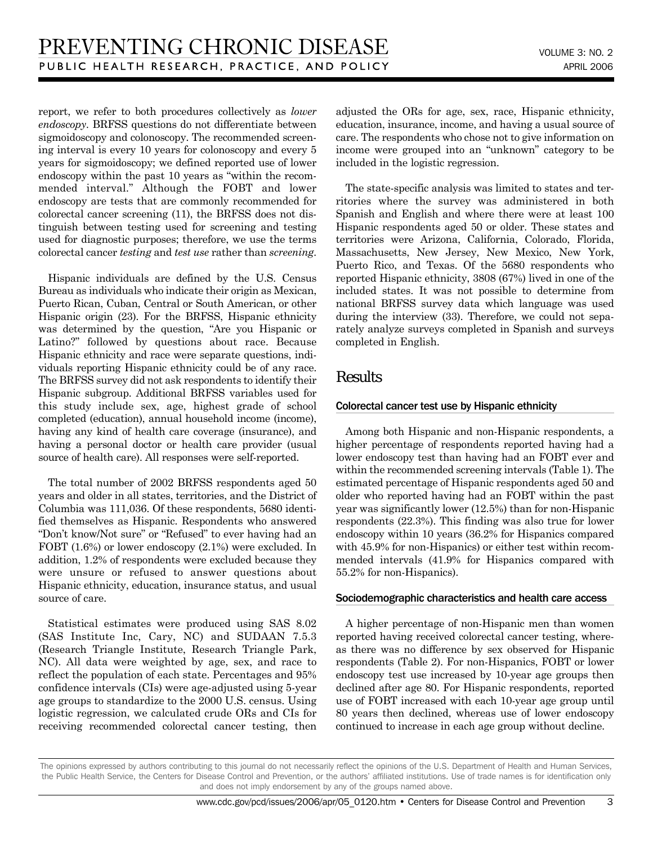report, we refer to both procedures collectively as *lower endoscopy*. BRFSS questions do not differentiate between sigmoidoscopy and colonoscopy. The recommended screening interval is every 10 years for colonoscopy and every 5 years for sigmoidoscopy; we defined reported use of lower endoscopy within the past 10 years as "within the recommended interval." Although the FOBT and lower endoscopy are tests that are commonly recommended for colorectal cancer screening (11), the BRFSS does not distinguish between testing used for screening and testing used for diagnostic purposes; therefore, we use the terms colorectal cancer *testing* and *test use* rather than *screening*.

Hispanic individuals are defined by the U.S. Census Bureau as individuals who indicate their origin as Mexican, Puerto Rican, Cuban, Central or South American, or other Hispanic origin (23). For the BRFSS, Hispanic ethnicity was determined by the question, "Are you Hispanic or Latino?" followed by questions about race. Because Hispanic ethnicity and race were separate questions, individuals reporting Hispanic ethnicity could be of any race. The BRFSS survey did not ask respondents to identify their Hispanic subgroup. Additional BRFSS variables used for this study include sex, age, highest grade of school completed (education), annual household income (income), having any kind of health care coverage (insurance), and having a personal doctor or health care provider (usual source of health care). All responses were self-reported.

The total number of 2002 BRFSS respondents aged 50 years and older in all states, territories, and the District of Columbia was 111,036. Of these respondents, 5680 identified themselves as Hispanic. Respondents who answered "Don't know/Not sure" or "Refused" to ever having had an FOBT (1.6%) or lower endoscopy (2.1%) were excluded. In addition, 1.2% of respondents were excluded because they were unsure or refused to answer questions about Hispanic ethnicity, education, insurance status, and usual source of care.

Statistical estimates were produced using SAS 8.02 (SAS Institute Inc, Cary, NC) and SUDAAN 7.5.3 (Research Triangle Institute, Research Triangle Park, NC). All data were weighted by age, sex, and race to reflect the population of each state. Percentages and 95% confidence intervals (CIs) were age-adjusted using 5-year age groups to standardize to the 2000 U.S. census. Using logistic regression, we calculated crude ORs and CIs for receiving recommended colorectal cancer testing, then adjusted the ORs for age, sex, race, Hispanic ethnicity, education, insurance, income, and having a usual source of care. The respondents who chose not to give information on income were grouped into an "unknown" category to be included in the logistic regression.

The state-specific analysis was limited to states and territories where the survey was administered in both Spanish and English and where there were at least 100 Hispanic respondents aged 50 or older. These states and territories were Arizona, California, Colorado, Florida, Massachusetts, New Jersey, New Mexico, New York, Puerto Rico, and Texas. Of the 5680 respondents who reported Hispanic ethnicity, 3808 (67%) lived in one of the included states. It was not possible to determine from national BRFSS survey data which language was used during the interview (33). Therefore, we could not separately analyze surveys completed in Spanish and surveys completed in English.

## **Results**

#### Colorectal cancer test use by Hispanic ethnicity

Among both Hispanic and non-Hispanic respondents, a higher percentage of respondents reported having had a lower endoscopy test than having had an FOBT ever and within the recommended screening intervals (Table 1). The estimated percentage of Hispanic respondents aged 50 and older who reported having had an FOBT within the past year was significantly lower (12.5%) than for non-Hispanic respondents (22.3%). This finding was also true for lower endoscopy within 10 years (36.2% for Hispanics compared with  $45.9\%$  for non-Hispanics) or either test within recommended intervals (41.9% for Hispanics compared with 55.2% for non-Hispanics).

#### Sociodemographic characteristics and health care access

A higher percentage of non-Hispanic men than women reported having received colorectal cancer testing, whereas there was no difference by sex observed for Hispanic respondents (Table 2). For non-Hispanics, FOBT or lower endoscopy test use increased by 10-year age groups then declined after age 80. For Hispanic respondents, reported use of FOBT increased with each 10-year age group until 80 years then declined, whereas use of lower endoscopy continued to increase in each age group without decline.

The opinions expressed by authors contributing to this journal do not necessarily reflect the opinions of the U.S. Department of Health and Human Services, the Public Health Service, the Centers for Disease Control and Prevention, or the authors' affiliated institutions. Use of trade names is for identification only and does not imply endorsement by any of the groups named above.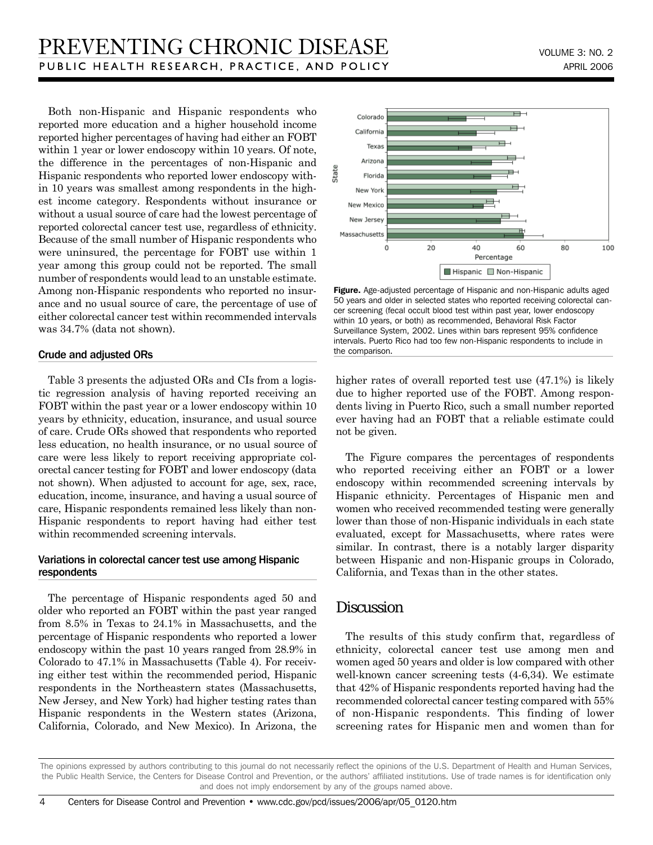Both non-Hispanic and Hispanic respondents who reported more education and a higher household income reported higher percentages of having had either an FOBT within 1 year or lower endoscopy within 10 years. Of note, the difference in the percentages of non-Hispanic and Hispanic respondents who reported lower endoscopy within 10 years was smallest among respondents in the highest income category. Respondents without insurance or without a usual source of care had the lowest percentage of reported colorectal cancer test use, regardless of ethnicity. Because of the small number of Hispanic respondents who were uninsured, the percentage for FOBT use within 1 year among this group could not be reported. The small number of respondents would lead to an unstable estimate. Among non-Hispanic respondents who reported no insurance and no usual source of care, the percentage of use of either colorectal cancer test within recommended intervals was 34.7% (data not shown).

#### Crude and adjusted ORs

Table 3 presents the adjusted ORs and CIs from a logistic regression analysis of having reported receiving an FOBT within the past year or a lower endoscopy within 10 years by ethnicity, education, insurance, and usual source of care. Crude ORs showed that respondents who reported less education, no health insurance, or no usual source of care were less likely to report receiving appropriate colorectal cancer testing for FOBT and lower endoscopy (data not shown). When adjusted to account for age, sex, race, education, income, insurance, and having a usual source of care, Hispanic respondents remained less likely than non-Hispanic respondents to report having had either test within recommended screening intervals.

#### Variations in colorectal cancer test use among Hispanic respondents

The percentage of Hispanic respondents aged 50 and older who reported an FOBT within the past year ranged from 8.5% in Texas to 24.1% in Massachusetts, and the percentage of Hispanic respondents who reported a lower endoscopy within the past 10 years ranged from 28.9% in Colorado to 47.1% in Massachusetts (Table 4). For receiving either test within the recommended period, Hispanic respondents in the Northeastern states (Massachusetts, New Jersey, and New York) had higher testing rates than Hispanic respondents in the Western states (Arizona, California, Colorado, and New Mexico). In Arizona, the



Figure. Age-adjusted percentage of Hispanic and non-Hispanic adults aged 50 years and older in selected states who reported receiving colorectal cancer screening (fecal occult blood test within past year, lower endoscopy within 10 years, or both) as recommended, Behavioral Risk Factor Surveillance System, 2002. Lines within bars represent 95% confidence intervals. Puerto Rico had too few non-Hispanic respondents to include in the comparison.

higher rates of overall reported test use (47.1%) is likely due to higher reported use of the FOBT. Among respondents living in Puerto Rico, such a small number reported ever having had an FOBT that a reliable estimate could not be given.

The Figure compares the percentages of respondents who reported receiving either an FOBT or a lower endoscopy within recommended screening intervals by Hispanic ethnicity. Percentages of Hispanic men and women who received recommended testing were generally lower than those of non-Hispanic individuals in each state evaluated, except for Massachusetts, where rates were similar. In contrast, there is a notably larger disparity between Hispanic and non-Hispanic groups in Colorado, California, and Texas than in the other states.

### **Discussion**

The results of this study confirm that, regardless of ethnicity, colorectal cancer test use among men and women aged 50 years and older is low compared with other well-known cancer screening tests (4-6,34). We estimate that 42% of Hispanic respondents reported having had the recommended colorectal cancer testing compared with 55% of non-Hispanic respondents. This finding of lower screening rates for Hispanic men and women than for

The opinions expressed by authors contributing to this journal do not necessarily reflect the opinions of the U.S. Department of Health and Human Services, the Public Health Service, the Centers for Disease Control and Prevention, or the authors' affiliated institutions. Use of trade names is for identification only and does not imply endorsement by any of the groups named above.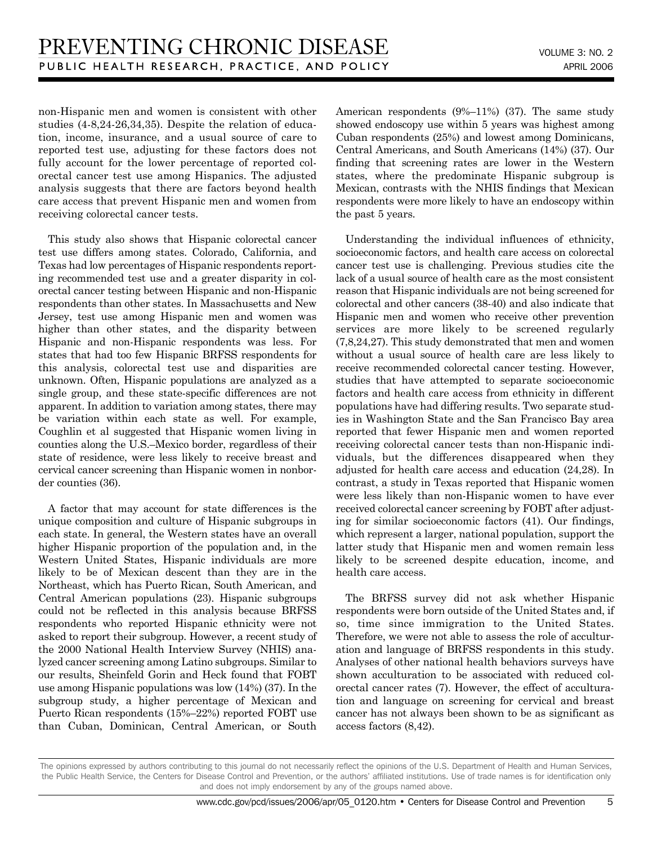non-Hispanic men and women is consistent with other studies (4-8,24-26,34,35). Despite the relation of education, income, insurance, and a usual source of care to reported test use, adjusting for these factors does not fully account for the lower percentage of reported colorectal cancer test use among Hispanics. The adjusted analysis suggests that there are factors beyond health care access that prevent Hispanic men and women from receiving colorectal cancer tests.

This study also shows that Hispanic colorectal cancer test use differs among states. Colorado, California, and Texas had low percentages of Hispanic respondents reporting recommended test use and a greater disparity in colorectal cancer testing between Hispanic and non-Hispanic respondents than other states. In Massachusetts and New Jersey, test use among Hispanic men and women was higher than other states, and the disparity between Hispanic and non-Hispanic respondents was less. For states that had too few Hispanic BRFSS respondents for this analysis, colorectal test use and disparities are unknown. Often, Hispanic populations are analyzed as a single group, and these state-specific differences are not apparent. In addition to variation among states, there may be variation within each state as well. For example, Coughlin et al suggested that Hispanic women living in counties along the U.S.–Mexico border, regardless of their state of residence, were less likely to receive breast and cervical cancer screening than Hispanic women in nonborder counties (36).

A factor that may account for state differences is the unique composition and culture of Hispanic subgroups in each state. In general, the Western states have an overall higher Hispanic proportion of the population and, in the Western United States, Hispanic individuals are more likely to be of Mexican descent than they are in the Northeast, which has Puerto Rican, South American, and Central American populations (23). Hispanic subgroups could not be reflected in this analysis because BRFSS respondents who reported Hispanic ethnicity were not asked to report their subgroup. However, a recent study of the 2000 National Health Interview Survey (NHIS) analyzed cancer screening among Latino subgroups. Similar to our results, Sheinfeld Gorin and Heck found that FOBT use among Hispanic populations was low (14%) (37). In the subgroup study, a higher percentage of Mexican and Puerto Rican respondents (15%–22%) reported FOBT use than Cuban, Dominican, Central American, or South American respondents (9%–11%) (37). The same study showed endoscopy use within 5 years was highest among Cuban respondents (25%) and lowest among Dominicans, Central Americans, and South Americans (14%) (37). Our finding that screening rates are lower in the Western states, where the predominate Hispanic subgroup is Mexican, contrasts with the NHIS findings that Mexican respondents were more likely to have an endoscopy within the past 5 years.

Understanding the individual influences of ethnicity, socioeconomic factors, and health care access on colorectal cancer test use is challenging. Previous studies cite the lack of a usual source of health care as the most consistent reason that Hispanic individuals are not being screened for colorectal and other cancers (38-40) and also indicate that Hispanic men and women who receive other prevention services are more likely to be screened regularly (7,8,24,27). This study demonstrated that men and women without a usual source of health care are less likely to receive recommended colorectal cancer testing. However, studies that have attempted to separate socioeconomic factors and health care access from ethnicity in different populations have had differing results. Two separate studies in Washington State and the San Francisco Bay area reported that fewer Hispanic men and women reported receiving colorectal cancer tests than non-Hispanic individuals, but the differences disappeared when they adjusted for health care access and education (24,28). In contrast, a study in Texas reported that Hispanic women were less likely than non-Hispanic women to have ever received colorectal cancer screening by FOBT after adjusting for similar socioeconomic factors (41). Our findings, which represent a larger, national population, support the latter study that Hispanic men and women remain less likely to be screened despite education, income, and health care access.

The BRFSS survey did not ask whether Hispanic respondents were born outside of the United States and, if so, time since immigration to the United States. Therefore, we were not able to assess the role of acculturation and language of BRFSS respondents in this study. Analyses of other national health behaviors surveys have shown acculturation to be associated with reduced colorectal cancer rates (7). However, the effect of acculturation and language on screening for cervical and breast cancer has not always been shown to be as significant as access factors (8,42).

The opinions expressed by authors contributing to this journal do not necessarily reflect the opinions of the U.S. Department of Health and Human Services, the Public Health Service, the Centers for Disease Control and Prevention, or the authors' affiliated institutions. Use of trade names is for identification only and does not imply endorsement by any of the groups named above.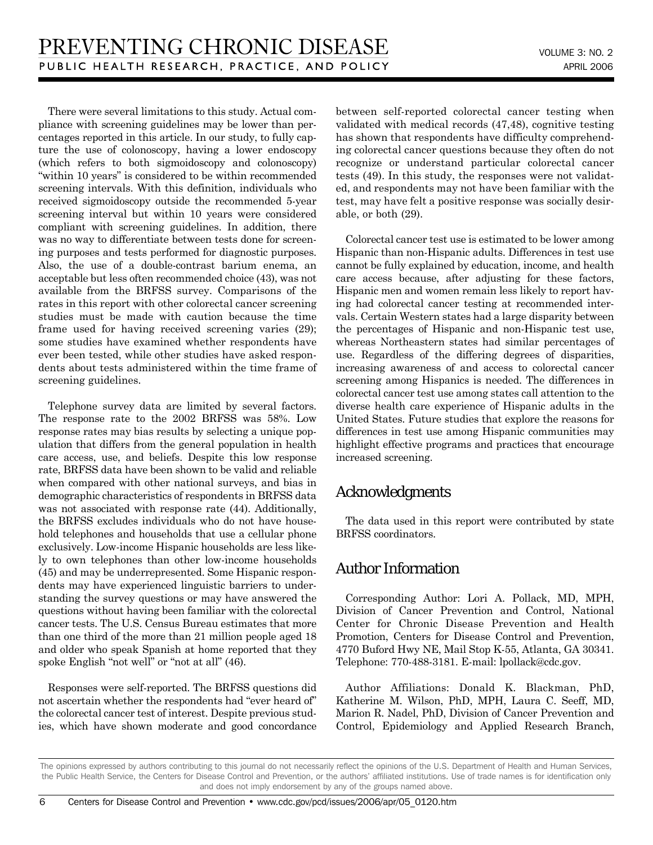There were several limitations to this study. Actual compliance with screening guidelines may be lower than percentages reported in this article. In our study, to fully capture the use of colonoscopy, having a lower endoscopy (which refers to both sigmoidoscopy and colonoscopy) "within 10 years" is considered to be within recommended screening intervals. With this definition, individuals who received sigmoidoscopy outside the recommended 5-year screening interval but within 10 years were considered compliant with screening guidelines. In addition, there was no way to differentiate between tests done for screening purposes and tests performed for diagnostic purposes. Also, the use of a double-contrast barium enema, an acceptable but less often recommended choice (43), was not available from the BRFSS survey. Comparisons of the rates in this report with other colorectal cancer screening studies must be made with caution because the time frame used for having received screening varies (29); some studies have examined whether respondents have ever been tested, while other studies have asked respondents about tests administered within the time frame of screening guidelines.

Telephone survey data are limited by several factors. The response rate to the 2002 BRFSS was 58%. Low response rates may bias results by selecting a unique population that differs from the general population in health care access, use, and beliefs. Despite this low response rate, BRFSS data have been shown to be valid and reliable when compared with other national surveys, and bias in demographic characteristics of respondents in BRFSS data was not associated with response rate (44). Additionally, the BRFSS excludes individuals who do not have household telephones and households that use a cellular phone exclusively. Low-income Hispanic households are less likely to own telephones than other low-income households (45) and may be underrepresented. Some Hispanic respondents may have experienced linguistic barriers to understanding the survey questions or may have answered the questions without having been familiar with the colorectal cancer tests. The U.S. Census Bureau estimates that more than one third of the more than 21 million people aged 18 and older who speak Spanish at home reported that they spoke English "not well" or "not at all" (46).

Responses were self-reported. The BRFSS questions did not ascertain whether the respondents had "ever heard of" the colorectal cancer test of interest. Despite previous studies, which have shown moderate and good concordance between self-reported colorectal cancer testing when validated with medical records (47,48), cognitive testing has shown that respondents have difficulty comprehending colorectal cancer questions because they often do not recognize or understand particular colorectal cancer tests (49). In this study, the responses were not validated, and respondents may not have been familiar with the test, may have felt a positive response was socially desirable, or both (29).

Colorectal cancer test use is estimated to be lower among Hispanic than non-Hispanic adults. Differences in test use cannot be fully explained by education, income, and health care access because, after adjusting for these factors, Hispanic men and women remain less likely to report having had colorectal cancer testing at recommended intervals. Certain Western states had a large disparity between the percentages of Hispanic and non-Hispanic test use, whereas Northeastern states had similar percentages of use. Regardless of the differing degrees of disparities, increasing awareness of and access to colorectal cancer screening among Hispanics is needed. The differences in colorectal cancer test use among states call attention to the diverse health care experience of Hispanic adults in the United States. Future studies that explore the reasons for differences in test use among Hispanic communities may highlight effective programs and practices that encourage increased screening.

## Acknowledgments

The data used in this report were contributed by state BRFSS coordinators.

## Author Information

Corresponding Author: Lori A. Pollack, MD, MPH, Division of Cancer Prevention and Control, National Center for Chronic Disease Prevention and Health Promotion, Centers for Disease Control and Prevention, 4770 Buford Hwy NE, Mail Stop K-55, Atlanta, GA 30341. Telephone: 770-488-3181. E-mail: lpollack@cdc.gov.

Author Affiliations: Donald K. Blackman, PhD, Katherine M. Wilson, PhD, MPH, Laura C. Seeff, MD, Marion R. Nadel, PhD, Division of Cancer Prevention and Control, Epidemiology and Applied Research Branch,

The opinions expressed by authors contributing to this journal do not necessarily reflect the opinions of the U.S. Department of Health and Human Services, the Public Health Service, the Centers for Disease Control and Prevention, or the authors' affiliated institutions. Use of trade names is for identification only and does not imply endorsement by any of the groups named above.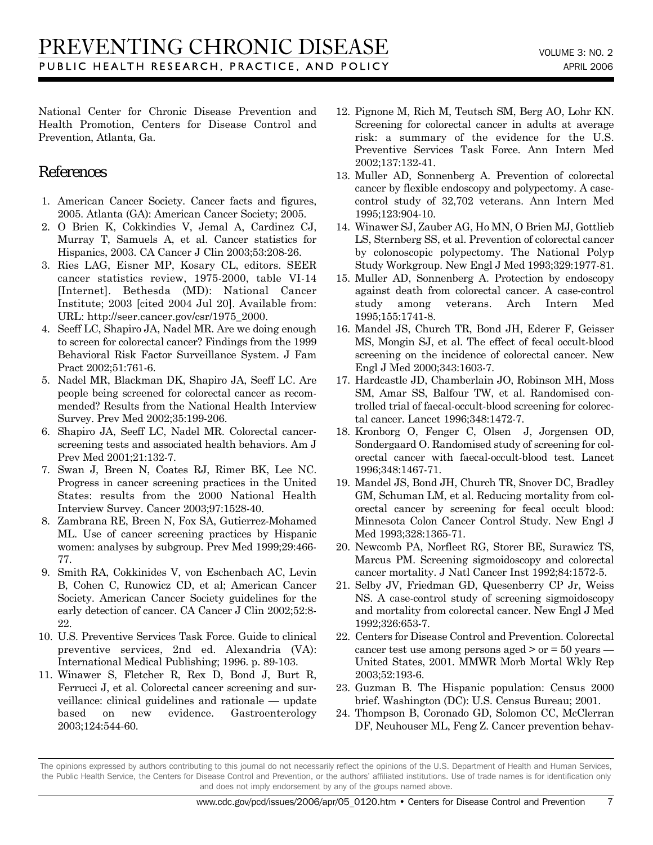National Center for Chronic Disease Prevention and Health Promotion, Centers for Disease Control and Prevention, Atlanta, Ga.

## References

- 1. American Cancer Society. Cancer facts and figures, 2005. Atlanta (GA): American Cancer Society; 2005.
- 2. O Brien K, Cokkindies V, Jemal A, Cardinez CJ, Murray T, Samuels A, et al. Cancer statistics for Hispanics, 2003. CA Cancer J Clin 2003;53:208-26.
- 3. Ries LAG, Eisner MP, Kosary CL, editors. SEER cancer statistics review, 1975-2000, table VI-14 [Internet]. Bethesda (MD): National Cancer Institute; 2003 [cited 2004 Jul 20]. Available from: URL: http://seer.cancer.gov/csr/1975\_2000.
- 4. Seeff LC, Shapiro JA, Nadel MR. Are we doing enough to screen for colorectal cancer? Findings from the 1999 Behavioral Risk Factor Surveillance System. J Fam Pract 2002;51:761-6.
- 5. Nadel MR, Blackman DK, Shapiro JA, Seeff LC. Are people being screened for colorectal cancer as recommended? Results from the National Health Interview Survey. Prev Med 2002;35:199-206.
- 6. Shapiro JA, Seeff LC, Nadel MR. Colorectal cancerscreening tests and associated health behaviors. Am J Prev Med 2001;21:132-7.
- 7. Swan J, Breen N, Coates RJ, Rimer BK, Lee NC. Progress in cancer screening practices in the United States: results from the 2000 National Health Interview Survey. Cancer 2003;97:1528-40.
- 8. Zambrana RE, Breen N, Fox SA, Gutierrez-Mohamed ML. Use of cancer screening practices by Hispanic women: analyses by subgroup. Prev Med 1999;29:466- 77.
- 9. Smith RA, Cokkinides V, von Eschenbach AC, Levin B, Cohen C, Runowicz CD, et al; American Cancer Society. American Cancer Society guidelines for the early detection of cancer. CA Cancer J Clin 2002;52:8- 22.
- 10. U.S. Preventive Services Task Force. Guide to clinical preventive services, 2nd ed. Alexandria (VA): International Medical Publishing; 1996. p. 89-103.
- 11. Winawer S, Fletcher R, Rex D, Bond J, Burt R, Ferrucci J, et al. Colorectal cancer screening and surveillance: clinical guidelines and rationale — update based on new evidence. Gastroenterology 2003;124:544-60.
- 12. Pignone M, Rich M, Teutsch SM, Berg AO, Lohr KN. Screening for colorectal cancer in adults at average risk: a summary of the evidence for the U.S. Preventive Services Task Force. Ann Intern Med 2002;137:132-41.
- 13. Muller AD, Sonnenberg A. Prevention of colorectal cancer by flexible endoscopy and polypectomy. A casecontrol study of 32,702 veterans. Ann Intern Med 1995;123:904-10.
- 14. Winawer SJ, Zauber AG, Ho MN, O Brien MJ, Gottlieb LS, Sternberg SS, et al. Prevention of colorectal cancer by colonoscopic polypectomy. The National Polyp Study Workgroup. New Engl J Med 1993;329:1977-81.
- 15. Muller AD, Sonnenberg A. Protection by endoscopy against death from colorectal cancer. A case-control study among veterans. Arch Intern Med 1995;155:1741-8.
- 16. Mandel JS, Church TR, Bond JH, Ederer F, Geisser MS, Mongin SJ, et al. The effect of fecal occult-blood screening on the incidence of colorectal cancer. New Engl J Med 2000;343:1603-7.
- 17. Hardcastle JD, Chamberlain JO, Robinson MH, Moss SM, Amar SS, Balfour TW, et al. Randomised controlled trial of faecal-occult-blood screening for colorectal cancer. Lancet 1996;348:1472-7.
- 18. Kronborg O, Fenger C, Olsen J, Jorgensen OD, Sondergaard O. Randomised study of screening for colorectal cancer with faecal-occult-blood test. Lancet 1996;348:1467-71.
- 19. Mandel JS, Bond JH, Church TR, Snover DC, Bradley GM, Schuman LM, et al. Reducing mortality from colorectal cancer by screening for fecal occult blood: Minnesota Colon Cancer Control Study. New Engl J Med 1993;328:1365-71.
- 20. Newcomb PA, Norfleet RG, Storer BE, Surawicz TS, Marcus PM. Screening sigmoidoscopy and colorectal cancer mortality. J Natl Cancer Inst 1992;84:1572-5.
- 21. Selby JV, Friedman GD, Quesenberry CP Jr, Weiss NS. A case-control study of screening sigmoidoscopy and mortality from colorectal cancer. New Engl J Med 1992;326:653-7.
- 22. Centers for Disease Control and Prevention. Colorectal cancer test use among persons aged  $>$  or  $=$  50 years — United States, 2001. MMWR Morb Mortal Wkly Rep 2003;52:193-6.
- 23. Guzman B. The Hispanic population: Census 2000 brief. Washington (DC): U.S. Census Bureau; 2001.
- 24. Thompson B, Coronado GD, Solomon CC, McClerran DF, Neuhouser ML, Feng Z. Cancer prevention behav-

The opinions expressed by authors contributing to this journal do not necessarily reflect the opinions of the U.S. Department of Health and Human Services, the Public Health Service, the Centers for Disease Control and Prevention, or the authors' affiliated institutions. Use of trade names is for identification only and does not imply endorsement by any of the groups named above.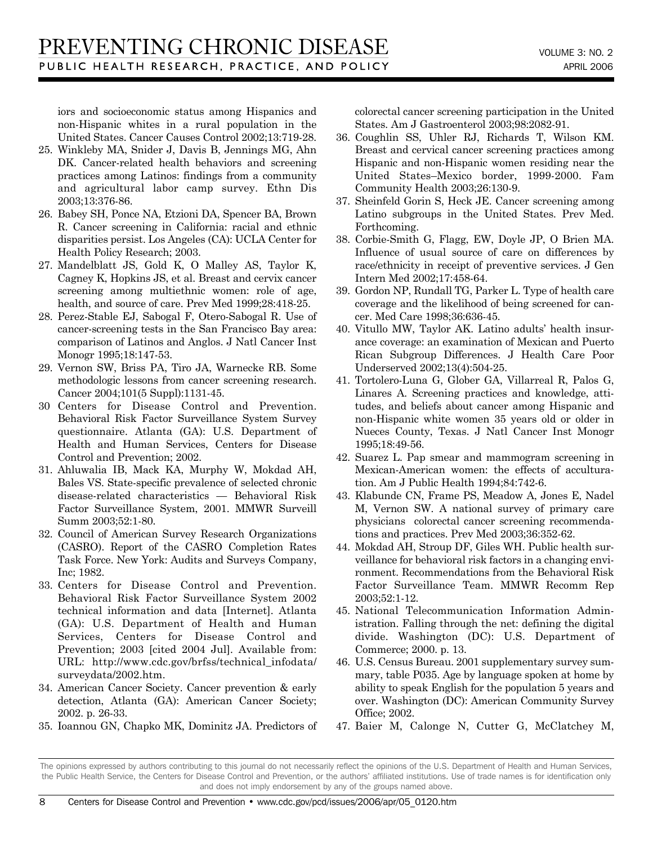iors and socioeconomic status among Hispanics and non-Hispanic whites in a rural population in the United States. Cancer Causes Control 2002;13:719-28.

- 25. Winkleby MA, Snider J, Davis B, Jennings MG, Ahn DK. Cancer-related health behaviors and screening practices among Latinos: findings from a community and agricultural labor camp survey. Ethn Dis 2003;13:376-86.
- 26. Babey SH, Ponce NA, Etzioni DA, Spencer BA, Brown R. Cancer screening in California: racial and ethnic disparities persist. Los Angeles (CA): UCLA Center for Health Policy Research; 2003.
- 27. Mandelblatt JS, Gold K, O Malley AS, Taylor K, Cagney K, Hopkins JS, et al. Breast and cervix cancer screening among multiethnic women: role of age, health, and source of care. Prev Med 1999;28:418-25.
- 28. Perez-Stable EJ, Sabogal F, Otero-Sabogal R. Use of cancer-screening tests in the San Francisco Bay area: comparison of Latinos and Anglos. J Natl Cancer Inst Monogr 1995;18:147-53.
- 29. Vernon SW, Briss PA, Tiro JA, Warnecke RB. Some methodologic lessons from cancer screening research. Cancer 2004;101(5 Suppl):1131-45.
- 30 Centers for Disease Control and Prevention. Behavioral Risk Factor Surveillance System Survey questionnaire. Atlanta (GA): U.S. Department of Health and Human Services, Centers for Disease Control and Prevention; 2002.
- 31. Ahluwalia IB, Mack KA, Murphy W, Mokdad AH, Bales VS. State-specific prevalence of selected chronic disease-related characteristics — Behavioral Risk Factor Surveillance System, 2001. MMWR Surveill Summ 2003;52:1-80.
- 32. Council of American Survey Research Organizations (CASRO). Report of the CASRO Completion Rates Task Force. New York: Audits and Surveys Company, Inc; 1982.
- 33. Centers for Disease Control and Prevention. Behavioral Risk Factor Surveillance System 2002 technical information and data [Internet]. Atlanta (GA): U.S. Department of Health and Human Services, Centers for Disease Control and Prevention; 2003 [cited 2004 Jul]. Available from: URL: http://www.cdc.gov/brfss/technical\_infodata/ surveydata/2002.htm.
- 34. American Cancer Society. Cancer prevention & early detection, Atlanta (GA): American Cancer Society; 2002. p. 26-33.
- 35. Ioannou GN, Chapko MK, Dominitz JA. Predictors of

colorectal cancer screening participation in the United States. Am J Gastroenterol 2003;98:2082-91.

- 36. Coughlin SS, Uhler RJ, Richards T, Wilson KM. Breast and cervical cancer screening practices among Hispanic and non-Hispanic women residing near the United States–Mexico border, 1999-2000. Fam Community Health 2003;26:130-9.
- 37. Sheinfeld Gorin S, Heck JE. Cancer screening among Latino subgroups in the United States. Prev Med. Forthcoming.
- 38. Corbie-Smith G, Flagg, EW, Doyle JP, O Brien MA. Influence of usual source of care on differences by race/ethnicity in receipt of preventive services. J Gen Intern Med 2002;17:458-64.
- 39. Gordon NP, Rundall TG, Parker L. Type of health care coverage and the likelihood of being screened for cancer. Med Care 1998;36:636-45.
- 40. Vitullo MW, Taylor AK. Latino adults' health insurance coverage: an examination of Mexican and Puerto Rican Subgroup Differences. J Health Care Poor Underserved 2002;13(4):504-25.
- 41. Tortolero-Luna G, Glober GA, Villarreal R, Palos G, Linares A. Screening practices and knowledge, attitudes, and beliefs about cancer among Hispanic and non-Hispanic white women 35 years old or older in Nueces County, Texas. J Natl Cancer Inst Monogr 1995;18:49-56.
- 42. Suarez L. Pap smear and mammogram screening in Mexican-American women: the effects of acculturation. Am J Public Health 1994;84:742-6.
- 43. Klabunde CN, Frame PS, Meadow A, Jones E, Nadel M, Vernon SW. A national survey of primary care physicians colorectal cancer screening recommendations and practices. Prev Med 2003;36:352-62.
- 44. Mokdad AH, Stroup DF, Giles WH. Public health surveillance for behavioral risk factors in a changing environment. Recommendations from the Behavioral Risk Factor Surveillance Team. MMWR Recomm Rep 2003;52:1-12.
- 45. National Telecommunication Information Administration. Falling through the net: defining the digital divide. Washington (DC): U.S. Department of Commerce; 2000. p. 13.
- 46. U.S. Census Bureau. 2001 supplementary survey summary, table P035. Age by language spoken at home by ability to speak English for the population 5 years and over. Washington (DC): American Community Survey Office; 2002.
- 47. Baier M, Calonge N, Cutter G, McClatchey M,

The opinions expressed by authors contributing to this journal do not necessarily reflect the opinions of the U.S. Department of Health and Human Services, the Public Health Service, the Centers for Disease Control and Prevention, or the authors' affiliated institutions. Use of trade names is for identification only and does not imply endorsement by any of the groups named above.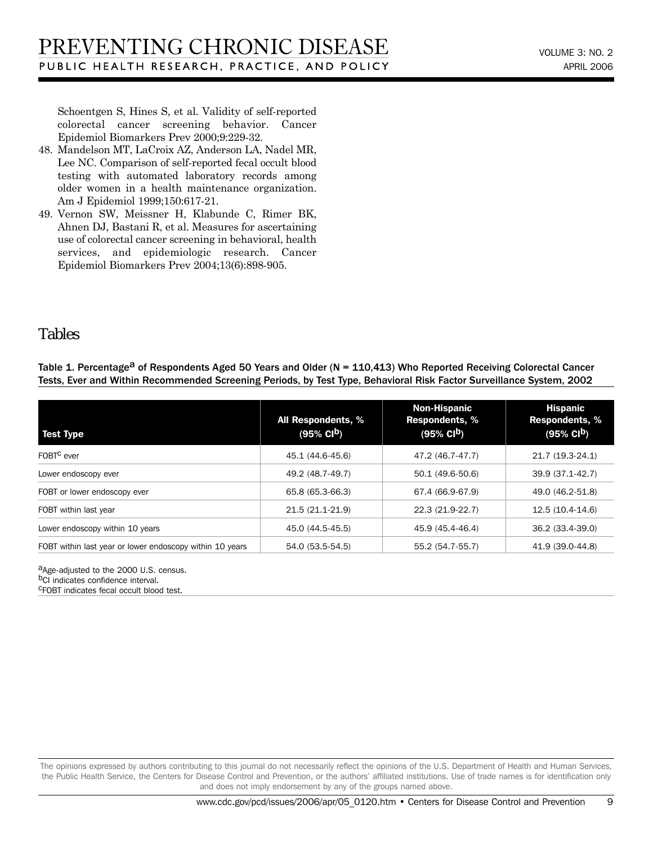Schoentgen S, Hines S, et al. Validity of self-reported colorectal cancer screening behavior. Cancer Epidemiol Biomarkers Prev 2000;9:229-32.

- 48. Mandelson MT, LaCroix AZ, Anderson LA, Nadel MR, Lee NC. Comparison of self-reported fecal occult blood testing with automated laboratory records among older women in a health maintenance organization. Am J Epidemiol 1999;150:617-21.
- 49. Vernon SW, Meissner H, Klabunde C, Rimer BK, Ahnen DJ, Bastani R, et al. Measures for ascertaining use of colorectal cancer screening in behavioral, health services, and epidemiologic research. Cancer Epidemiol Biomarkers Prev 2004;13(6):898-905.

## Tables

Table 1. Percentage<sup>a</sup> of Respondents Aged 50 Years and Older (N = 110,413) Who Reported Receiving Colorectal Cancer Tests, Ever and Within Recommended Screening Periods, by Test Type, Behavioral Risk Factor Surveillance System, 2002

| <b>Test Type</b>                                         | All Respondents, %<br>$(95\% \text{ Cl}^{\text{b}})$ | <b>Non-Hispanic</b><br><b>Respondents, %</b><br>$(95\% \text{ Cl}^{\text{b}})$ | <b>Hispanic</b><br><b>Respondents, %</b><br>$(95\% \text{ Cl}^{\text{b}})$ |
|----------------------------------------------------------|------------------------------------------------------|--------------------------------------------------------------------------------|----------------------------------------------------------------------------|
| FOBT <sup>C</sup> ever                                   | 45.1 (44.6-45.6)                                     | 47.2 (46.7-47.7)                                                               | 21.7 (19.3-24.1)                                                           |
| Lower endoscopy ever                                     | 49.2 (48.7-49.7)                                     | 50.1 (49.6-50.6)                                                               | 39.9 (37.1-42.7)                                                           |
| FOBT or lower endoscopy ever                             | 65.8 (65.3-66.3)                                     | 67.4 (66.9-67.9)                                                               | 49.0 (46.2-51.8)                                                           |
| FOBT within last year                                    | 21.5 (21.1-21.9)                                     | 22.3 (21.9-22.7)                                                               | 12.5 (10.4-14.6)                                                           |
| Lower endoscopy within 10 years                          | 45.0 (44.5-45.5)                                     | 45.9 (45.4-46.4)                                                               | 36.2 (33.4-39.0)                                                           |
| FOBT within last year or lower endoscopy within 10 years | 54.0 (53.5-54.5)                                     | 55.2 (54.7-55.7)                                                               | 41.9 (39.0-44.8)                                                           |

aAge-adjusted to the 2000 U.S. census. b<sub>CI</sub> indicates confidence interval. cFOBT indicates fecal occult blood test.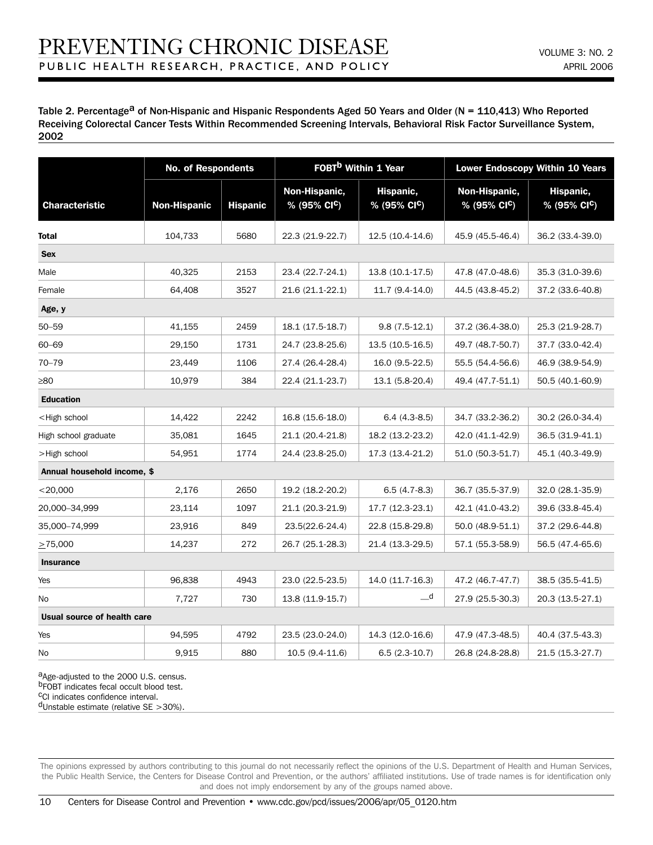Table 2. Percentage<sup>a</sup> of Non-Hispanic and Hispanic Respondents Aged 50 Years and Older (N = 110,413) Who Reported Receiving Colorectal Cancer Tests Within Recommended Screening Intervals, Behavioral Risk Factor Surveillance System, 2002

|                                                                                                                                                                         | <b>No. of Respondents</b> |                 | FOBT <sup>b</sup> Within 1 Year           |                                       | <b>Lower Endoscopy Within 10 Years</b>    |                                       |
|-------------------------------------------------------------------------------------------------------------------------------------------------------------------------|---------------------------|-----------------|-------------------------------------------|---------------------------------------|-------------------------------------------|---------------------------------------|
| <b>Characteristic</b>                                                                                                                                                   | <b>Non-Hispanic</b>       | <b>Hispanic</b> | Non-Hispanic,<br>% (95% CI <sup>C</sup> ) | Hispanic,<br>% (95% CI <sup>C</sup> ) | Non-Hispanic,<br>% (95% CI <sup>C</sup> ) | Hispanic,<br>% (95% CI <sup>C</sup> ) |
| <b>Total</b>                                                                                                                                                            | 104,733                   | 5680            | 22.3 (21.9-22.7)                          | 12.5 (10.4-14.6)                      | 45.9 (45.5-46.4)                          | 36.2 (33.4-39.0)                      |
| <b>Sex</b>                                                                                                                                                              |                           |                 |                                           |                                       |                                           |                                       |
| Male                                                                                                                                                                    | 40,325                    | 2153            | 23.4 (22.7-24.1)                          | 13.8 (10.1-17.5)                      | 47.8 (47.0-48.6)                          | 35.3 (31.0-39.6)                      |
| Female                                                                                                                                                                  | 64,408                    | 3527            | 21.6 (21.1-22.1)                          | 11.7 (9.4-14.0)                       | 44.5 (43.8-45.2)                          | 37.2 (33.6-40.8)                      |
| Age, y                                                                                                                                                                  |                           |                 |                                           |                                       |                                           |                                       |
| $50 - 59$                                                                                                                                                               | 41,155                    | 2459            | 18.1 (17.5-18.7)                          | $9.8(7.5-12.1)$                       | 37.2 (36.4-38.0)                          | 25.3 (21.9-28.7)                      |
| $60 - 69$                                                                                                                                                               | 29,150                    | 1731            | 24.7 (23.8-25.6)                          | 13.5 (10.5-16.5)                      | 49.7 (48.7-50.7)                          | 37.7 (33.0-42.4)                      |
| $70 - 79$                                                                                                                                                               | 23,449                    | 1106            | 27.4 (26.4-28.4)                          | 16.0 (9.5-22.5)                       | 55.5 (54.4-56.6)                          | 46.9 (38.9-54.9)                      |
| $\geq 80$                                                                                                                                                               | 10,979                    | 384             | 22.4 (21.1-23.7)                          | 13.1 (5.8-20.4)                       | 49.4 (47.7-51.1)                          | 50.5 (40.1-60.9)                      |
| <b>Education</b>                                                                                                                                                        |                           |                 |                                           |                                       |                                           |                                       |
| <high school<="" td=""><td>14,422</td><td>2242</td><td>16.8 (15.6-18.0)</td><td><math>6.4(4.3-8.5)</math></td><td>34.7 (33.2-36.2)</td><td>30.2 (26.0-34.4)</td></high> | 14,422                    | 2242            | 16.8 (15.6-18.0)                          | $6.4(4.3-8.5)$                        | 34.7 (33.2-36.2)                          | 30.2 (26.0-34.4)                      |
| High school graduate                                                                                                                                                    | 35,081                    | 1645            | 21.1 (20.4-21.8)                          | 18.2 (13.2-23.2)                      | 42.0 (41.1-42.9)                          | 36.5 (31.9-41.1)                      |
| >High school                                                                                                                                                            | 54,951                    | 1774            | 24.4 (23.8-25.0)                          | 17.3 (13.4-21.2)                      | 51.0 (50.3-51.7)                          | 45.1 (40.3-49.9)                      |
| Annual household income, \$                                                                                                                                             |                           |                 |                                           |                                       |                                           |                                       |
| $<$ 20,000                                                                                                                                                              | 2,176                     | 2650            | 19.2 (18.2-20.2)                          | $6.5(4.7-8.3)$                        | 36.7 (35.5-37.9)                          | 32.0 (28.1-35.9)                      |
| 20,000-34,999                                                                                                                                                           | 23,114                    | 1097            | 21.1 (20.3-21.9)                          | 17.7 (12.3-23.1)                      | 42.1 (41.0-43.2)                          | 39.6 (33.8-45.4)                      |
| 35,000-74,999                                                                                                                                                           | 23,916                    | 849             | 23.5(22.6-24.4)                           | 22.8 (15.8-29.8)                      | 50.0 (48.9-51.1)                          | 37.2 (29.6-44.8)                      |
| $\geq$ 75,000                                                                                                                                                           | 14,237                    | 272             | 26.7 (25.1-28.3)                          | 21.4 (13.3-29.5)                      | 57.1 (55.3-58.9)                          | 56.5 (47.4-65.6)                      |
| <b>Insurance</b>                                                                                                                                                        |                           |                 |                                           |                                       |                                           |                                       |
| Yes                                                                                                                                                                     | 96,838                    | 4943            | 23.0 (22.5-23.5)                          | 14.0 (11.7-16.3)                      | 47.2 (46.7-47.7)                          | 38.5 (35.5-41.5)                      |
| No                                                                                                                                                                      | 7,727                     | 730             | 13.8 (11.9-15.7)                          | $\overline{\phantom{a}}$ d            | 27.9 (25.5-30.3)                          | 20.3 (13.5-27.1)                      |
| Usual source of health care                                                                                                                                             |                           |                 |                                           |                                       |                                           |                                       |
| Yes                                                                                                                                                                     | 94,595                    | 4792            | 23.5 (23.0-24.0)                          | 14.3 (12.0-16.6)                      | 47.9 (47.3-48.5)                          | 40.4 (37.5-43.3)                      |
| No                                                                                                                                                                      | 9,915                     | 880             | 10.5 (9.4-11.6)                           | $6.5(2.3-10.7)$                       | 26.8 (24.8-28.8)                          | 21.5 (15.3-27.7)                      |

a<sub>Age-adjusted to the 2000 U.S. census.</sub> bFOBT indicates fecal occult blood test. cCI indicates confidence interval.

 $d$ Unstable estimate (relative SE >30%).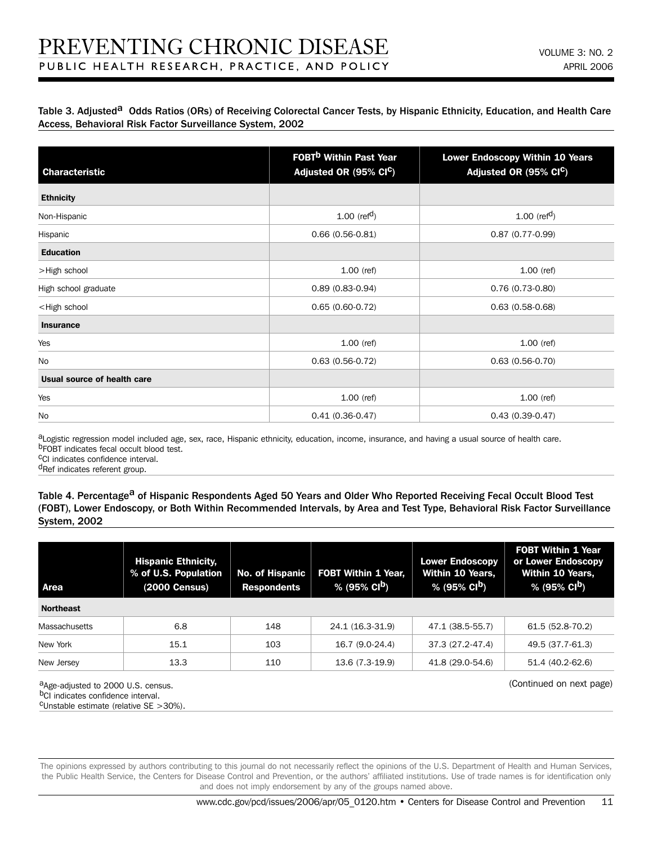#### Table 3. Adjusted<sup>a</sup> Odds Ratios (ORs) of Receiving Colorectal Cancer Tests, by Hispanic Ethnicity, Education, and Health Care Access, Behavioral Risk Factor Surveillance System, 2002

| <b>Characteristic</b>                                                                                    | <b>FOBT<sup>b</sup> Within Past Year</b><br>Adjusted OR (95% CI <sup>C</sup> ) | <b>Lower Endoscopy Within 10 Years</b><br>Adjusted OR (95% CIC) |  |
|----------------------------------------------------------------------------------------------------------|--------------------------------------------------------------------------------|-----------------------------------------------------------------|--|
| <b>Ethnicity</b>                                                                                         |                                                                                |                                                                 |  |
| Non-Hispanic                                                                                             | 1.00 ( $refd$ )                                                                | 1.00 ( $refd$ )                                                 |  |
| Hispanic                                                                                                 | $0.66(0.56-0.81)$                                                              | $0.87(0.77-0.99)$                                               |  |
| <b>Education</b>                                                                                         |                                                                                |                                                                 |  |
| >High school                                                                                             | $1.00$ (ref)                                                                   | $1.00$ (ref)                                                    |  |
| High school graduate                                                                                     | $0.89(0.83 - 0.94)$                                                            | $0.76(0.73-0.80)$                                               |  |
| <high school<="" td=""><td><math>0.65(0.60-0.72)</math></td><td><math>0.63(0.58-0.68)</math></td></high> | $0.65(0.60-0.72)$                                                              | $0.63(0.58-0.68)$                                               |  |
| <b>Insurance</b>                                                                                         |                                                                                |                                                                 |  |
| Yes                                                                                                      | $1.00$ (ref)                                                                   | $1.00$ (ref)                                                    |  |
| No                                                                                                       | $0.63(0.56-0.72)$                                                              | $0.63(0.56-0.70)$                                               |  |
| Usual source of health care                                                                              |                                                                                |                                                                 |  |
| Yes                                                                                                      | $1.00$ (ref)                                                                   | $1.00$ (ref)                                                    |  |
| <b>No</b>                                                                                                | $0.41(0.36-0.47)$                                                              | $0.43(0.39 - 0.47)$                                             |  |

aLogistic regression model included age, sex, race, Hispanic ethnicity, education, income, insurance, and having a usual source of health care. b<sub>FOBT</sub> indicates fecal occult blood test.

cCI indicates confidence interval.

dRef indicates referent group.

#### Table 4. Percentage<sup>a</sup> of Hispanic Respondents Aged 50 Years and Older Who Reported Receiving Fecal Occult Blood Test (FOBT), Lower Endoscopy, or Both Within Recommended Intervals, by Area and Test Type, Behavioral Risk Factor Surveillance System, 2002

| Area                 | <b>Hispanic Ethnicity,</b><br>% of U.S. Population<br>(2000 Census) | <b>No. of Hispanic</b><br><b>Respondents</b> | <b>FOBT Within 1 Year.</b><br>$\sqrt{95\%}$ CI <sup>b</sup> ) | <b>Lower Endoscopy</b><br><b>Within 10 Years,</b><br>$\frac{1}{2}$ % (95% CI <sup>b</sup> ) | <b>FOBT Within 1 Year</b><br>or Lower Endoscopy<br>Within 10 Years,<br>$\frac{1}{2}$ (95% CI <sup>b</sup> ) |
|----------------------|---------------------------------------------------------------------|----------------------------------------------|---------------------------------------------------------------|---------------------------------------------------------------------------------------------|-------------------------------------------------------------------------------------------------------------|
| <b>Northeast</b>     |                                                                     |                                              |                                                               |                                                                                             |                                                                                                             |
| <b>Massachusetts</b> | 6.8                                                                 | 148                                          | 24.1 (16.3-31.9)                                              | 47.1 (38.5-55.7)                                                                            | 61.5 (52.8-70.2)                                                                                            |
| New York             | 15.1                                                                | 103                                          | 16.7 (9.0-24.4)                                               | 37.3 (27.2-47.4)                                                                            | 49.5 (37.7-61.3)                                                                                            |
| New Jersey           | 13.3                                                                | 110                                          | 13.6 (7.3-19.9)                                               | 41.8 (29.0-54.6)                                                                            | 51.4 (40.2-62.6)                                                                                            |

aAge-adjusted to 2000 U.S. census. b<sub>CI</sub> indicates confidence interval. cUnstable estimate (relative SE >30%). (Continued on next page)